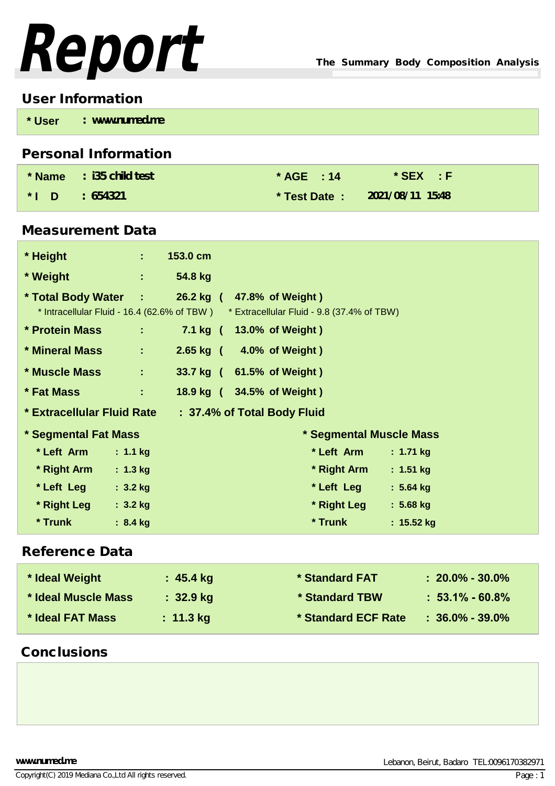

## **User Information**

**\* User : www.numed.me**

# **Personal Information**

| $*$ Name $\; : \;$ i35 child test | $*AGE$ : 14 | $\cdot$ SEX $\cdot$ F            |
|-----------------------------------|-------------|----------------------------------|
| $*$ I D : 654321                  |             | * Test Date : $2021/08/11$ 15:48 |

## **Measurement Data**

| * Height                   | $\mathcal{O}(\mathcal{O}_\mathcal{O})$ | 153.0 cm |                                                                                                                                          |                         |
|----------------------------|----------------------------------------|----------|------------------------------------------------------------------------------------------------------------------------------------------|-------------------------|
| * Weight                   | $\mathcal{I}^{\text{max}}$ and         | 54.8 kg  |                                                                                                                                          |                         |
|                            |                                        |          | * Total Body Water : 26.2 kg (47.8% of Weight)<br>* Intracellular Fluid - 16.4 (62.6% of TBW) * Extracellular Fluid - 9.8 (37.4% of TBW) |                         |
| * Protein Mass             | <b>District</b>                        |          | 7.1 kg ( 13.0% of Weight)                                                                                                                |                         |
| * Mineral Mass             | $\mathcal{I}^{\mathcal{I}}$ .          |          | 2.65 kg ( 4.0% of Weight)                                                                                                                |                         |
| * Muscle Mass              | $\mathcal{L}^{\text{max}}$             |          | 33.7 kg ( 61.5% of Weight)                                                                                                               |                         |
| * Fat Mass                 | $\mathbb{R}^{n \times n}$              |          | 18.9 kg ( 34.5% of Weight)                                                                                                               |                         |
| * Extracellular Fluid Rate |                                        |          | : 37.4% of Total Body Fluid                                                                                                              |                         |
| * Segmental Fat Mass       |                                        |          |                                                                                                                                          | * Segmental Muscle Mass |
| * Left Arm                 | $: 1.1$ kg                             |          | * Left Arm                                                                                                                               | : 1.71 kg               |
| * Right Arm                | $: 1.3$ kg                             |          | * Right Arm                                                                                                                              | : $1.51$ kg             |
| * Left Leg                 | $: 3.2$ kg                             |          | * Left Leg                                                                                                                               | $: 5.64$ kg             |
| * Right Leg                | $: 3.2$ kg                             |          | * Right Leg                                                                                                                              | $: 5.68$ kg             |
| * Trunk                    | $: 8.4$ kg                             |          | * Trunk                                                                                                                                  | $: 15.52$ kg            |

# **Reference Data**

| * Ideal Weight      | $: 45.4 \text{ kg}$ | * Standard FAT      | $\therefore$ 20.0% - 30.0% |
|---------------------|---------------------|---------------------|----------------------------|
| * Ideal Muscle Mass | $: 32.9 \text{ kg}$ | * Standard TBW      | $: 53.1\% - 60.8\%$        |
| * Ideal FAT Mass    | $: 11.3 \text{ kg}$ | * Standard ECF Rate | $: 36.0\% - 39.0\%$        |

# **Conclusions**

**www.numed.me** 

Copyright(C) 2019 Mediana Co.,Ltd All rights reserved.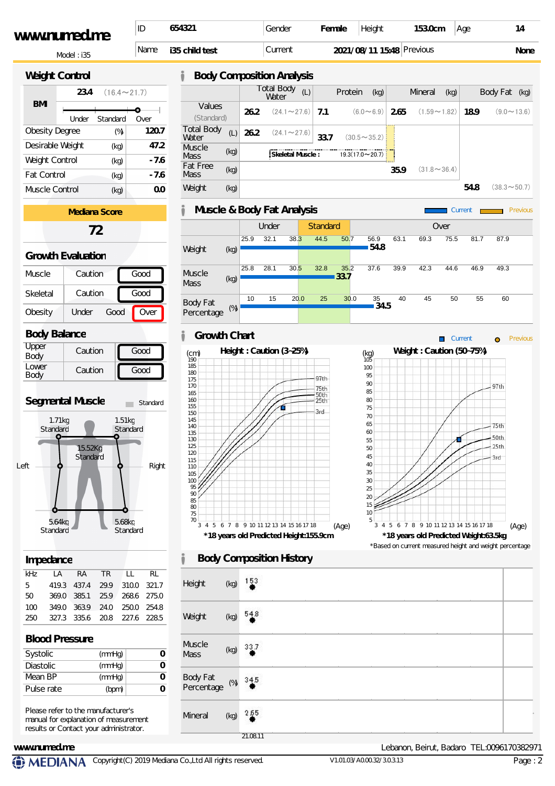# **www.numed.me**

Model : i35

| Name | i35 child test | 2021/08/11 15:48 Previous | None |
|------|----------------|---------------------------|------|
|      |                |                           |      |

ID 654321 **Cender Female Height 153.0cm Age 14** 

|                       | <b>Weight Control</b> |                    |        | <b>Body Con</b>                        |
|-----------------------|-----------------------|--------------------|--------|----------------------------------------|
|                       | 23.4                  | $(16.4 \sim 21.7)$ |        |                                        |
| <b>BMI</b>            |                       |                    |        | Values                                 |
|                       | Under                 | Standard           | Over   | (Standard)                             |
| <b>Obesity Degree</b> |                       | $(\%)$             | 120.7  | <b>Total Body</b><br>(L)<br>Water      |
| Desirable Weight      |                       | (kq)               | 47.2   | Muscle<br>(kq)                         |
| <b>Weight Control</b> |                       | (kg)               | $-7.6$ | Mass                                   |
| <b>Fat Control</b>    |                       | (kg)               | $-7.6$ | <b>Fat Free</b><br>(kq)<br><b>Mass</b> |
| Muscle Control        |                       | (kg)               | 0.0    | Weight<br>(kq)                         |
|                       |                       |                    |        |                                        |

# **Mediana Score 72**

### **Growth Evaluation**

| Muscle   | Caution       | Good |
|----------|---------------|------|
| Skeletal | Caution       | Good |
| Obesity  | Good<br>Under | Over |

### **Body Balance**

| Upper | Caution | Good |
|-------|---------|------|
| Body  |         |      |
|       |         |      |
| Lower | Caution | Good |
| Body  |         |      |

# Left  $\rightarrow$   $\rightarrow$   $\rightarrow$  Right 1.71kg 1.51kg 5.64kg 5.68kg 15.52Kg **Segmental Muscle** Standard Standard Standard Standard Standard **Standard**

### **Impedance**

| kHz | LA 1 | RA                           | TR T | $\mathbf{H}$ | RL |
|-----|------|------------------------------|------|--------------|----|
| 5   |      | 419.3 437.4 29.9             |      | 310.0 321.7  |    |
| 50  |      | 369.0 385.1 25.9 268.6 275.0 |      |              |    |
| 100 |      | 349.0 363.9 24.0 250.0 254.8 |      |              |    |
| 250 |      | 327.3 335.6 20.8 227.6 228.5 |      |              |    |
|     |      |                              |      |              |    |

### **Blood Pressure**

| Systolic         | (mmHq) |  |
|------------------|--------|--|
| <b>Diastolic</b> | (mmHq) |  |
| Mean BP          | (mmHq) |  |
| Pulse rate       | (bpm)  |  |

Please refer to the manufacturer's manual for explanation of measurement results or Contact your administrator.

# **Weight Body Composition Analysis**

**654321**

|                                |      |      | <b>Total Body</b><br>(L)<br>Water |      | Protein                | (kq)             |      | Mineral            | (kq) |      | Body Fat                  | (kq) |
|--------------------------------|------|------|-----------------------------------|------|------------------------|------------------|------|--------------------|------|------|---------------------------|------|
| Values                         |      | 26.2 | $(24.1 \sim 27.6)$ 7.1            |      |                        | $(6.0 \sim 6.9)$ | 2.65 | $(1.59 - 1.82)$    |      | 18.9 | $(9.0 \sim 13.6)$         |      |
| (Standard)                     |      |      |                                   |      |                        |                  |      |                    |      |      |                           |      |
| <b>Total Body</b><br>Water     | (L)  | 26.2 | $(24.1 \sim 27.6)$                | 33.7 | $(30.5 \sim 35.2)$     |                  |      |                    |      |      |                           |      |
| <b>Muscle</b><br><b>Mass</b>   | (kg) |      | Skeletal Muscle:                  |      | $19.3(17.0 \sim 20.7)$ |                  |      |                    |      |      |                           |      |
| <b>Fat Free</b><br><b>Mass</b> | (kg) |      |                                   |      |                        |                  | 35.9 | $(31.8 \sim 36.4)$ |      |      |                           |      |
| Weight                         | (kg) |      |                                   |      |                        |                  |      |                    |      | 54.8 | $(38.3 \rightarrow 50.7)$ |      |

Height **153.0cm**

#### i **Muscle & Body Fat Analysis**

|                              |        |      | Under |      | <b>Standard</b> |              |              |      |      | Over |      |      |  |
|------------------------------|--------|------|-------|------|-----------------|--------------|--------------|------|------|------|------|------|--|
| Weight                       | (kg)   | 25.9 | 32.1  | 38.3 | 44.5            | 50.7         | 56.9<br>54.8 | 63.1 | 69.3 | 75.5 | 81.7 | 87.9 |  |
| <b>Muscle</b><br><b>Mass</b> | (kg)   | 25.8 | 28.1  | 30.5 | 32.8            | 35.2<br>33.7 | 37.6         | 39.9 | 42.3 | 44.6 | 46.9 | 49.3 |  |
| Body Fat<br>Percentage       | $(\%)$ | 10   | 15    | 20.0 | 25              | 30.0         | 35<br>34.5   | 40   | 45   | 50   | 55   | 60   |  |

## **Growth Chart**



#### Current **C** Previous (kg)<br><sup>105</sup> 100 95  $\frac{1}{90}$ 97th 85  $80$ 75 70 65 75th 60 50th 55  $25<sub>th</sub>$ **GC** 45  $3rd$ 40 35 30  $\frac{25}{25}$ 20  $15 \geq$ 10 5  $(Age)$  3 4 5 6 7 8 9 10 11 12 13 14 15 16 17 18  $(Age)$

Current **Previous** 

\*Based on current measured height and weight percentage

Lebanon, Beirut, Badaro TEL:0096170382971

#### Î **Body Composition History**

| Height<br>(kg)             | 153      |
|----------------------------|----------|
| Weight<br>(kg)             | 548      |
| Muscle<br>(kg)<br>Mass     | 33.7     |
| Body Fat<br>Percentage (%) | 34.5     |
| Mineral<br>(kg)            | 2.55     |
|                            | 21.08.11 |

### **www.numed.me**

V1.01.03/A0.00.32/3.0.3.13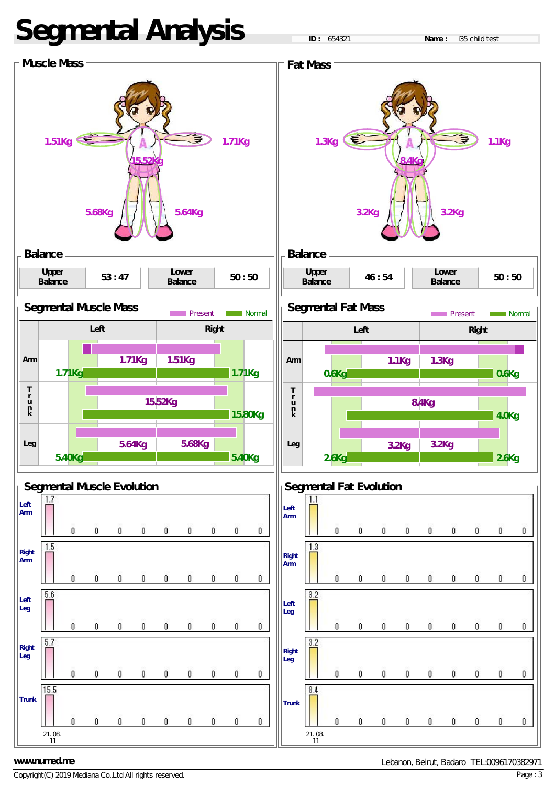# **Segmental Analysis**

**ID :** 654321 **Name :** i35 child test



#### **www.numed.me**

Copyright(C) 2019 Mediana Co.,Ltd All rights reserved.

Lebanon, Beirut, Badaro TEL:0096170382971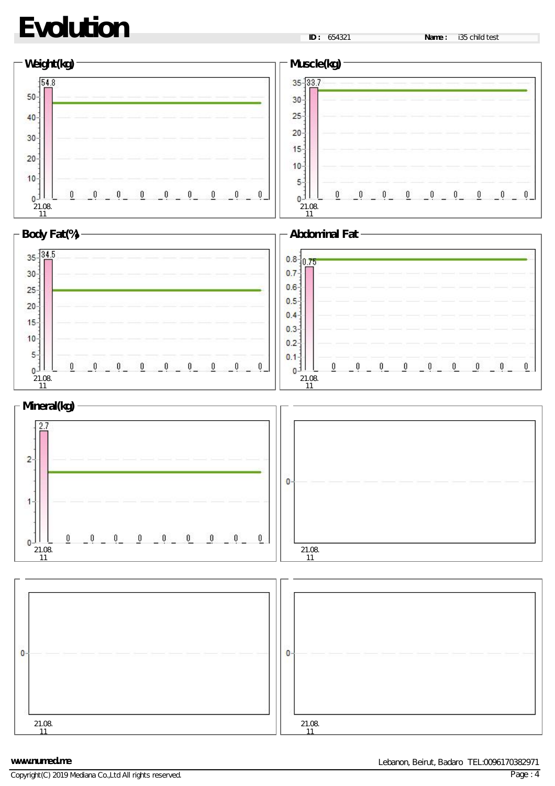# **Evolution**



### **www.numed.me**

Copyright(C) 2019 Mediana Co.,Ltd All rights reserved.

Lebanon, Beirut, Badaro TEL:0096170382971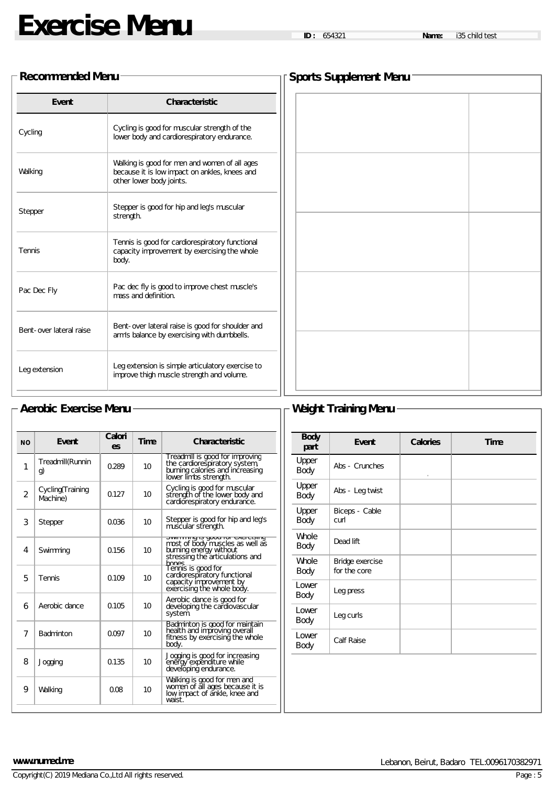# Exercise Menu **ID:** 654321 **Name:** i35 child test

### **Recommended Menu**

| Event                   | <b>Characteristic</b>                                                                                                      |
|-------------------------|----------------------------------------------------------------------------------------------------------------------------|
| Cycling                 | Cycling is good for muscular strength of the<br>lower body and cardiorespiratory endurance.                                |
| Walking                 | Walking is good for men and women of all ages<br>because it is low impact on ankles, knees and<br>other lower body joints. |
| Stepper                 | Stepper is good for hip and leg's muscular<br>strength.                                                                    |
| Tennis                  | Tennis is good for cardiorespiratory functional<br>capacity improvement by exercising the whole<br>body.                   |
| Pac Dec Fly             | Pac dec fly is good to improve chest muscle's<br>mass and definition.                                                      |
| Bent-over lateral raise | Bent-over lateral raise is good for shoulder and<br>arm's balance by exercising with dumbbells.                            |
| Leg extension           | Leg extension is simple articulatory exercise to<br>improve thigh muscle strength and volume.                              |

| Sports Supplement Menu <sup>-</sup> |  |  |  |  |  |
|-------------------------------------|--|--|--|--|--|
|                                     |  |  |  |  |  |
|                                     |  |  |  |  |  |
|                                     |  |  |  |  |  |
|                                     |  |  |  |  |  |
|                                     |  |  |  |  |  |
|                                     |  |  |  |  |  |
|                                     |  |  |  |  |  |
|                                     |  |  |  |  |  |
|                                     |  |  |  |  |  |
|                                     |  |  |  |  |  |
|                                     |  |  |  |  |  |
|                                     |  |  |  |  |  |
|                                     |  |  |  |  |  |
|                                     |  |  |  |  |  |
|                                     |  |  |  |  |  |
|                                     |  |  |  |  |  |
|                                     |  |  |  |  |  |
|                                     |  |  |  |  |  |
|                                     |  |  |  |  |  |
|                                     |  |  |  |  |  |
|                                     |  |  |  |  |  |
|                                     |  |  |  |  |  |

# - Aerobic Exercise Menu <del>- And Menu - And Menu</del> - Weight Training Menu -

| <b>NO</b>      | Event                         | Calori<br>es | Time | <b>Characteristic</b>                                                                                                                         |
|----------------|-------------------------------|--------------|------|-----------------------------------------------------------------------------------------------------------------------------------------------|
| 1              | Treadmill(Runnin<br>g)        | 0.289        | 10   | Treadmill is good for improving<br>the cardiorespiratory system,<br>burning calories and increasing<br>lower limbs strength.                  |
| $\overline{2}$ | Cycling (Training<br>Machine) | 0.127        | 10   | Cycling is good for muscular<br>strength of the lower body and<br>cardiorespiratory endurance.                                                |
| 3              | Stepper                       | 0.036        | 10   | Stepper is good for hip and leg's<br>muscular strength.                                                                                       |
| 4              | Swimming                      | 0.156        | 10   | פו המסירה את המסטל כו המוחדות<br>most of body muscles as well as<br>burning energy without<br>stressing the articulations and<br><u>hones</u> |
| 5              | Tennis                        | 0.109        | 10   | Tennis is good for<br>cardiorespiratory functional<br>capacity improvement by<br>exercising the whole body.                                   |
| 6              | Aerobic dance                 | 0.105        | 10   | Aerobic dance is good for<br>developing the cardiovascular<br>system.                                                                         |
| 7              | Badminton                     | 0.097        | 10   | Badminton is good for maintain<br>health and improving overall<br>fitness by exercising the whole<br>body.                                    |
| 8              | Jogging                       | 0.135        | 10   | Jogging is good for increasing<br>eněřgy expenditure while<br>develóping endurance.                                                           |
| 9              | Walking                       | 0.08         | 10   | Walking is good for men and<br>women of all ages because it is<br>low impact of ankle, knee and<br>waist.                                     |

| <b>Body</b><br>part | <b>Event</b>                    | <b>Calories</b> | <b>Time</b> |
|---------------------|---------------------------------|-----------------|-------------|
| Upper<br>Body       | Abs - Crunches                  | $\circ$         |             |
| Upper<br>Body       | Abs - Leg twist                 |                 |             |
| Upper<br>Body       | Biceps - Cable<br>curl          |                 |             |
| Whole<br>Body       | Dead lift                       |                 |             |
| Whole<br>Body       | Bridge exercise<br>for the core |                 |             |
| Lower<br>Body       | Leg press                       |                 |             |
| Lower<br>Body       | Leg curls                       |                 |             |
| Lower<br>Body       | Calf Raise                      |                 |             |
|                     |                                 |                 |             |

### **www.numed.me**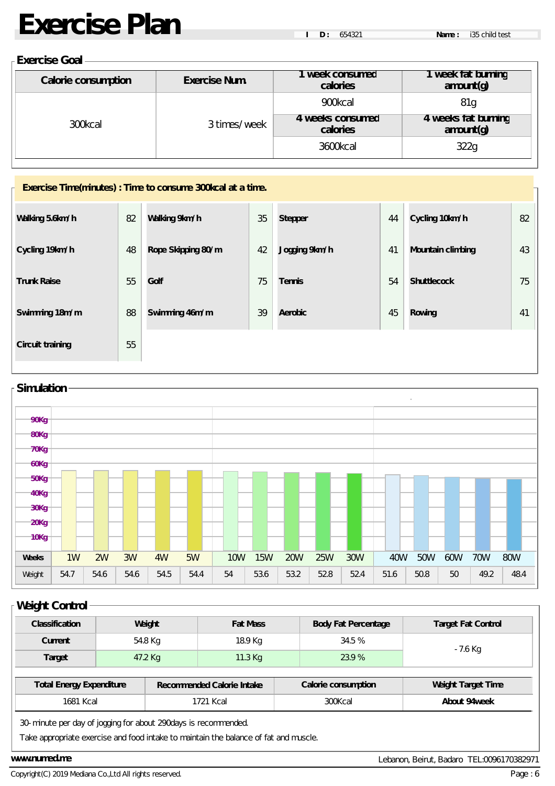# **Exercise Plan**

### **Exercise Goal**

| <b>Calorie consumption</b> | Exercise Num. | week consumed<br>calories    | week fat burning<br>amount(g)    |
|----------------------------|---------------|------------------------------|----------------------------------|
| 300kcal                    | 3 times/week  | 900kcal                      | 81q                              |
|                            |               | 4 weeks consumed<br>calories | 4 weeks fat burning<br>amount(q) |
|                            |               | 3600kcal                     | 322g                             |

| Exercise Time(minutes) : Time to consume 300kcal at a time. |    |                    |    |                |    |                          |    |  |  |
|-------------------------------------------------------------|----|--------------------|----|----------------|----|--------------------------|----|--|--|
| Walking 5.6km/h                                             | 82 | Walking 9km/h      | 35 | <b>Stepper</b> | 44 | Cycling 10km/h           | 82 |  |  |
| Cycling 19km/h                                              | 48 | Rope Skipping 80/m | 42 | Jogging 9km/h  | 41 | <b>Mountain climbing</b> | 43 |  |  |
| <b>Trunk Raise</b>                                          | 55 | Golf               | 75 | <b>Tennis</b>  | 54 | <b>Shuttlecock</b>       | 75 |  |  |
| Swimming 18m/m                                              | 88 | Swimming 46m/m     | 39 | <b>Aerobic</b> | 45 | <b>Rowing</b>            | 41 |  |  |
| <b>Circuit training</b>                                     | 55 |                    |    |                |    |                          |    |  |  |



## **Weight Control**

| <b>Classification</b>           | Weight  |  | <b>Fat Mass</b>                   | <b>Body Fat Percentage</b> | <b>Target Fat Control</b> |  |
|---------------------------------|---------|--|-----------------------------------|----------------------------|---------------------------|--|
| <b>Current</b>                  | 54.8 Kg |  | 18.9 Kg                           | 34.5 %                     | -7.6 Kg                   |  |
| Target                          | 47.2 Kg |  | 11.3 $Kq$                         | 23.9 %                     |                           |  |
|                                 |         |  |                                   |                            |                           |  |
| <b>Total Energy Expenditure</b> |         |  | <b>Recommended Calorie Intake</b> | <b>Calorie consumption</b> | <b>Weight Target Time</b> |  |
| 1681 Kcal                       |         |  | 1721 Kcal                         | 300Kcal                    | <b>About 94week</b>       |  |
|                                 |         |  |                                   |                            |                           |  |

30-minute per day of jogging for about 290days is recommended.

Take appropriate exercise and food intake to maintain the balance of fat and muscle.

### **www.numed.me**